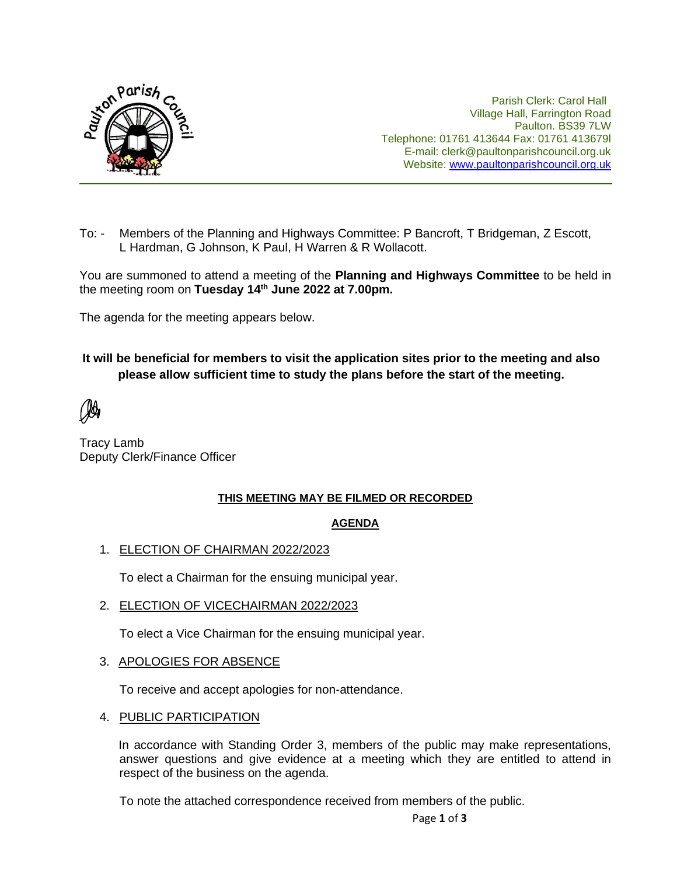

Parish Clerk: Carol Hall Village Hall, Farrington Road Paulton. BS39 7LW Telephone: 01761 413644 Fax: 01761 413679l E-mail: clerk@paultonparishcouncil.org.uk Website: [www.paultonparishcouncil.org.uk](http://www.paultonparishcouncil.org.uk/)

To: - Members of the Planning and Highways Committee: P Bancroft, T Bridgeman, Z Escott, L Hardman, G Johnson, K Paul, H Warren & R Wollacott.

You are summoned to attend a meeting of the **Planning and Highways Committee** to be held in the meeting room on **Tuesday 14 th June 2022 at 7.00pm.** 

The agenda for the meeting appears below.

### **It will be beneficial for members to visit the application sites prior to the meeting and also please allow sufficient time to study the plans before the start of the meeting.**

Tracy Lamb Deputy Clerk/Finance Officer

#### **THIS MEETING MAY BE FILMED OR RECORDED**

#### **AGENDA**

1. ELECTION OF CHAIRMAN 2022/2023

To elect a Chairman for the ensuing municipal year.

2. ELECTION OF VICECHAIRMAN 2022/2023

To elect a Vice Chairman for the ensuing municipal year.

#### 3. APOLOGIES FOR ABSENCE

To receive and accept apologies for non-attendance.

4. PUBLIC PARTICIPATION

In accordance with Standing Order 3, members of the public may make representations, answer questions and give evidence at a meeting which they are entitled to attend in respect of the business on the agenda.

To note the attached correspondence received from members of the public.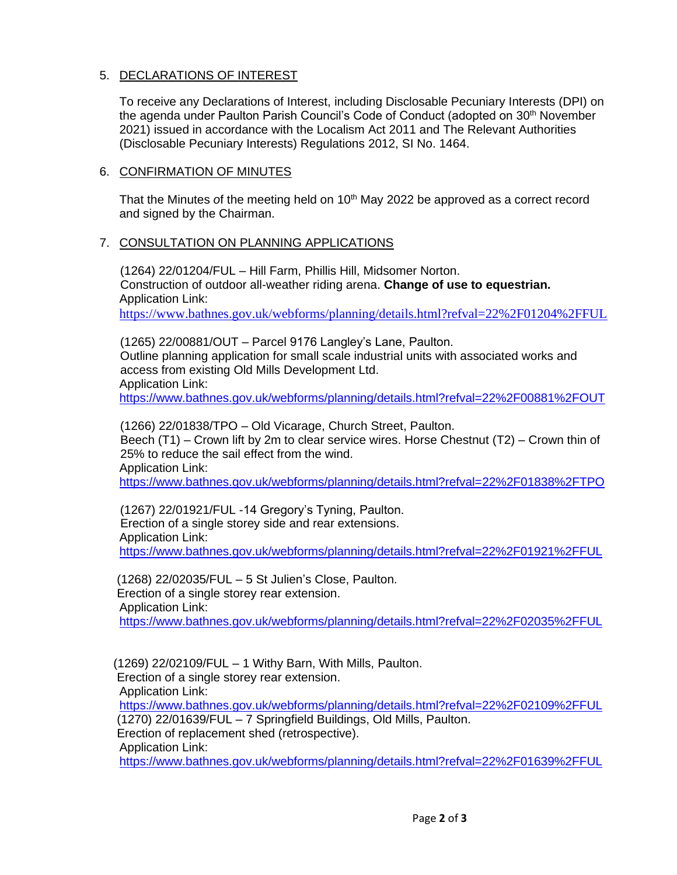### 5. DECLARATIONS OF INTEREST

To receive any Declarations of Interest, including Disclosable Pecuniary Interests (DPI) on the agenda under Paulton Parish Council's Code of Conduct (adopted on 30<sup>th</sup> November 2021) issued in accordance with the Localism Act 2011 and The Relevant Authorities (Disclosable Pecuniary Interests) Regulations 2012, SI No. 1464.

#### 6. CONFIRMATION OF MINUTES

That the Minutes of the meeting held on 10<sup>th</sup> May 2022 be approved as a correct record and signed by the Chairman.

#### 7. CONSULTATION ON PLANNING APPLICATIONS

 (1264) 22/01204/FUL – Hill Farm, Phillis Hill, Midsomer Norton. Construction of outdoor all-weather riding arena. **Change of use to equestrian.** Application Link:

<https://www.bathnes.gov.uk/webforms/planning/details.html?refval=22%2F01204%2FFUL>

 (1265) 22/00881/OUT – Parcel 9176 Langley's Lane, Paulton. Outline planning application for small scale industrial units with associated works and access from existing Old Mills Development Ltd. Application Link: <https://www.bathnes.gov.uk/webforms/planning/details.html?refval=22%2F00881%2FOUT>

 (1266) 22/01838/TPO – Old Vicarage, Church Street, Paulton. Beech (T1) – Crown lift by 2m to clear service wires. Horse Chestnut (T2) – Crown thin of 25% to reduce the sail effect from the wind. Application Link: <https://www.bathnes.gov.uk/webforms/planning/details.html?refval=22%2F01838%2FTPO>

 (1267) 22/01921/FUL -14 Gregory's Tyning, Paulton. Erection of a single storey side and rear extensions. Application Link: <https://www.bathnes.gov.uk/webforms/planning/details.html?refval=22%2F01921%2FFUL>

 (1268) 22/02035/FUL – 5 St Julien's Close, Paulton. Erection of a single storey rear extension. Application Link: <https://www.bathnes.gov.uk/webforms/planning/details.html?refval=22%2F02035%2FFUL>

(1269) 22/02109/FUL – 1 Withy Barn, With Mills, Paulton.

Erection of a single storey rear extension.

Application Link:

<https://www.bathnes.gov.uk/webforms/planning/details.html?refval=22%2F02109%2FFUL> (1270) 22/01639/FUL – 7 Springfield Buildings, Old Mills, Paulton.

Erection of replacement shed (retrospective).

Application Link:

<https://www.bathnes.gov.uk/webforms/planning/details.html?refval=22%2F01639%2FFUL>